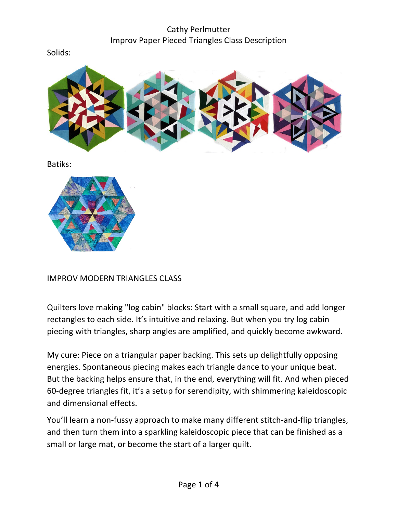## Cathy Perlmutter Improv Paper Pieced Triangles Class Description

Solids:



Batiks:



#### IMPROV MODERN TRIANGLES CLASS

Quilters love making "log cabin" blocks: Start with a small square, and add longer rectangles to each side. It's intuitive and relaxing. But when you try log cabin piecing with triangles, sharp angles are amplified, and quickly become awkward.

My cure: Piece on a triangular paper backing. This sets up delightfully opposing energies. Spontaneous piecing makes each triangle dance to your unique beat. But the backing helps ensure that, in the end, everything will fit. And when pieced 60-degree triangles fit, it's a setup for serendipity, with shimmering kaleidoscopic and dimensional effects.

You'll learn a non-fussy approach to make many different stitch-and-flip triangles, and then turn them into a sparkling kaleidoscopic piece that can be finished as a small or large mat, or become the start of a larger quilt.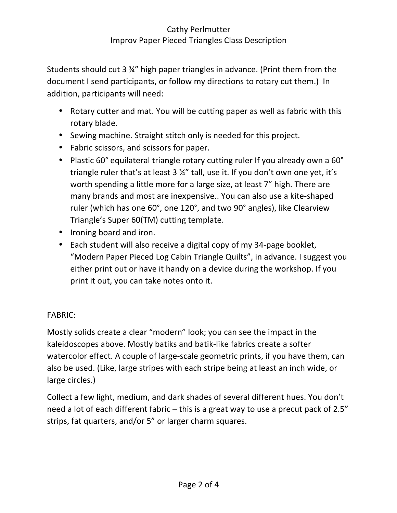### Cathy Perlmutter Improv Paper Pieced Triangles Class Description

Students should cut 3 34" high paper triangles in advance. (Print them from the document I send participants, or follow my directions to rotary cut them.) In addition, participants will need:

- Rotary cutter and mat. You will be cutting paper as well as fabric with this rotary blade.
- Sewing machine. Straight stitch only is needed for this project.
- Fabric scissors, and scissors for paper.
- Plastic 60° equilateral triangle rotary cutting ruler If you already own a 60° triangle ruler that's at least  $3 \frac{3}{4}$ " tall, use it. If you don't own one yet, it's worth spending a little more for a large size, at least 7" high. There are many brands and most are inexpensive.. You can also use a kite-shaped ruler (which has one 60°, one 120°, and two 90° angles), like Clearview Triangle's Super 60(TM) cutting template.
- Ironing board and iron.
- Each student will also receive a digital copy of my 34-page booklet, "Modern Paper Pieced Log Cabin Triangle Quilts", in advance. I suggest you either print out or have it handy on a device during the workshop. If you print it out, you can take notes onto it.

#### FABRIC:

Mostly solids create a clear "modern" look; you can see the impact in the kaleidoscopes above. Mostly batiks and batik-like fabrics create a softer watercolor effect. A couple of large-scale geometric prints, if you have them, can also be used. (Like, large stripes with each stripe being at least an inch wide, or large circles.)

Collect a few light, medium, and dark shades of several different hues. You don't need a lot of each different fabric – this is a great way to use a precut pack of 2.5" strips, fat quarters, and/or 5" or larger charm squares.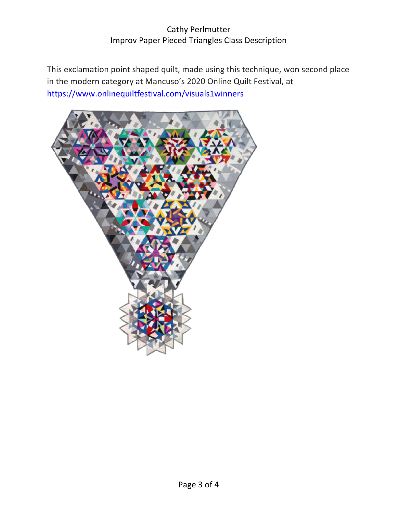### Cathy Perlmutter Improv Paper Pieced Triangles Class Description

This exclamation point shaped quilt, made using this technique, won second place in the modern category at Mancuso's 2020 Online Quilt Festival, at https://www.onlinequiltfestival.com/visuals1winners